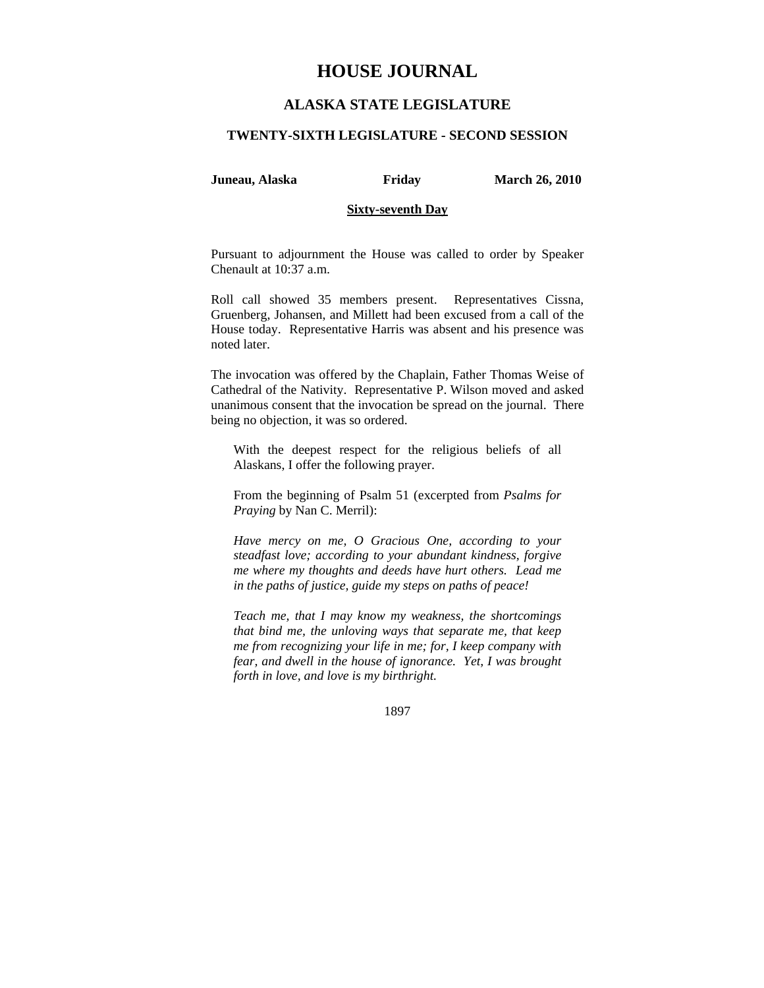# **HOUSE JOURNAL**

## **ALASKA STATE LEGISLATURE**

### **TWENTY-SIXTH LEGISLATURE - SECOND SESSION**

**Juneau, Alaska Friday March 26, 2010** 

### **Sixty-seventh Day**

Pursuant to adjournment the House was called to order by Speaker Chenault at 10:37 a.m.

Roll call showed 35 members present. Representatives Cissna, Gruenberg, Johansen, and Millett had been excused from a call of the House today. Representative Harris was absent and his presence was noted later.

The invocation was offered by the Chaplain, Father Thomas Weise of Cathedral of the Nativity. Representative P. Wilson moved and asked unanimous consent that the invocation be spread on the journal. There being no objection, it was so ordered.

With the deepest respect for the religious beliefs of all Alaskans, I offer the following prayer.

From the beginning of Psalm 51 (excerpted from *Psalms for Praying* by Nan C. Merril):

*Have mercy on me, O Gracious One, according to your steadfast love; according to your abundant kindness, forgive me where my thoughts and deeds have hurt others. Lead me in the paths of justice, guide my steps on paths of peace!* 

*Teach me, that I may know my weakness, the shortcomings that bind me, the unloving ways that separate me, that keep me from recognizing your life in me; for, I keep company with fear, and dwell in the house of ignorance. Yet, I was brought forth in love, and love is my birthright.* 

1897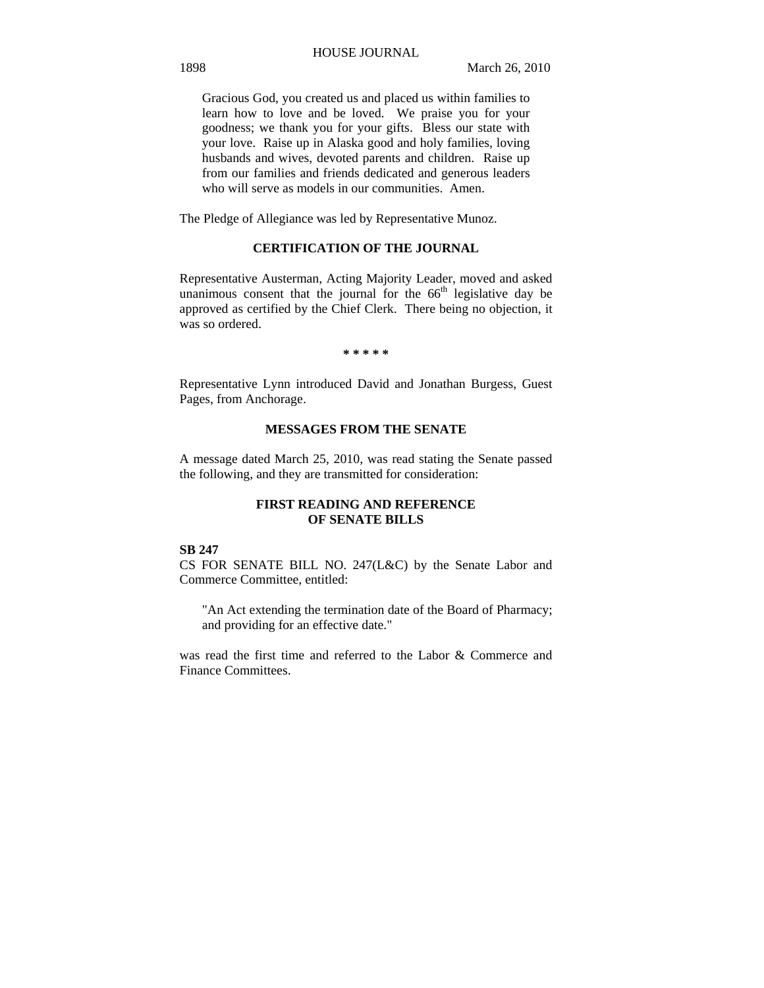Gracious God, you created us and placed us within families to learn how to love and be loved. We praise you for your goodness; we thank you for your gifts. Bless our state with your love. Raise up in Alaska good and holy families, loving husbands and wives, devoted parents and children. Raise up from our families and friends dedicated and generous leaders who will serve as models in our communities. Amen.

The Pledge of Allegiance was led by Representative Munoz.

## **CERTIFICATION OF THE JOURNAL**

Representative Austerman, Acting Majority Leader, moved and asked unanimous consent that the journal for the  $66<sup>th</sup>$  legislative day be approved as certified by the Chief Clerk. There being no objection, it was so ordered.

**\* \* \* \* \*** 

Representative Lynn introduced David and Jonathan Burgess, Guest Pages, from Anchorage.

## **MESSAGES FROM THE SENATE**

A message dated March 25, 2010, was read stating the Senate passed the following, and they are transmitted for consideration:

## **FIRST READING AND REFERENCE OF SENATE BILLS**

#### **SB 247**

CS FOR SENATE BILL NO. 247(L&C) by the Senate Labor and Commerce Committee, entitled:

"An Act extending the termination date of the Board of Pharmacy; and providing for an effective date."

was read the first time and referred to the Labor & Commerce and Finance Committees.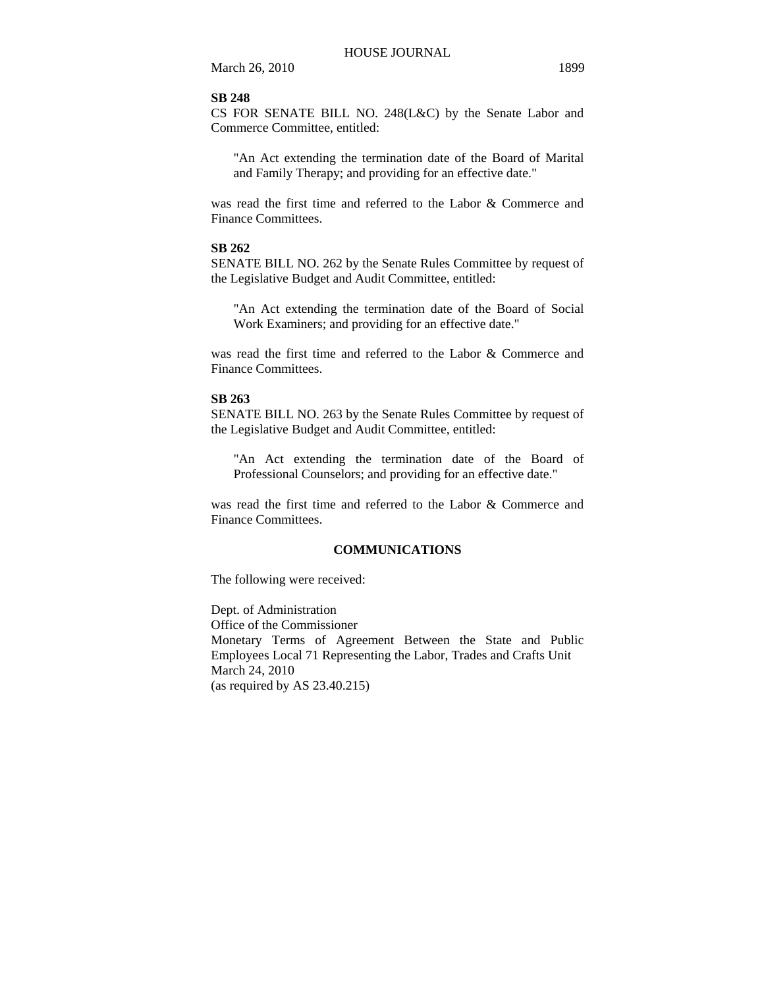#### **SB 248**

CS FOR SENATE BILL NO. 248(L&C) by the Senate Labor and Commerce Committee, entitled:

"An Act extending the termination date of the Board of Marital and Family Therapy; and providing for an effective date."

was read the first time and referred to the Labor & Commerce and Finance Committees.

## **SB 262**

SENATE BILL NO. 262 by the Senate Rules Committee by request of the Legislative Budget and Audit Committee, entitled:

"An Act extending the termination date of the Board of Social Work Examiners; and providing for an effective date."

was read the first time and referred to the Labor & Commerce and Finance Committees.

#### **SB 263**

SENATE BILL NO. 263 by the Senate Rules Committee by request of the Legislative Budget and Audit Committee, entitled:

"An Act extending the termination date of the Board of Professional Counselors; and providing for an effective date."

was read the first time and referred to the Labor & Commerce and Finance Committees.

## **COMMUNICATIONS**

The following were received:

Dept. of Administration Office of the Commissioner Monetary Terms of Agreement Between the State and Public Employees Local 71 Representing the Labor, Trades and Crafts Unit March 24, 2010 (as required by AS 23.40.215)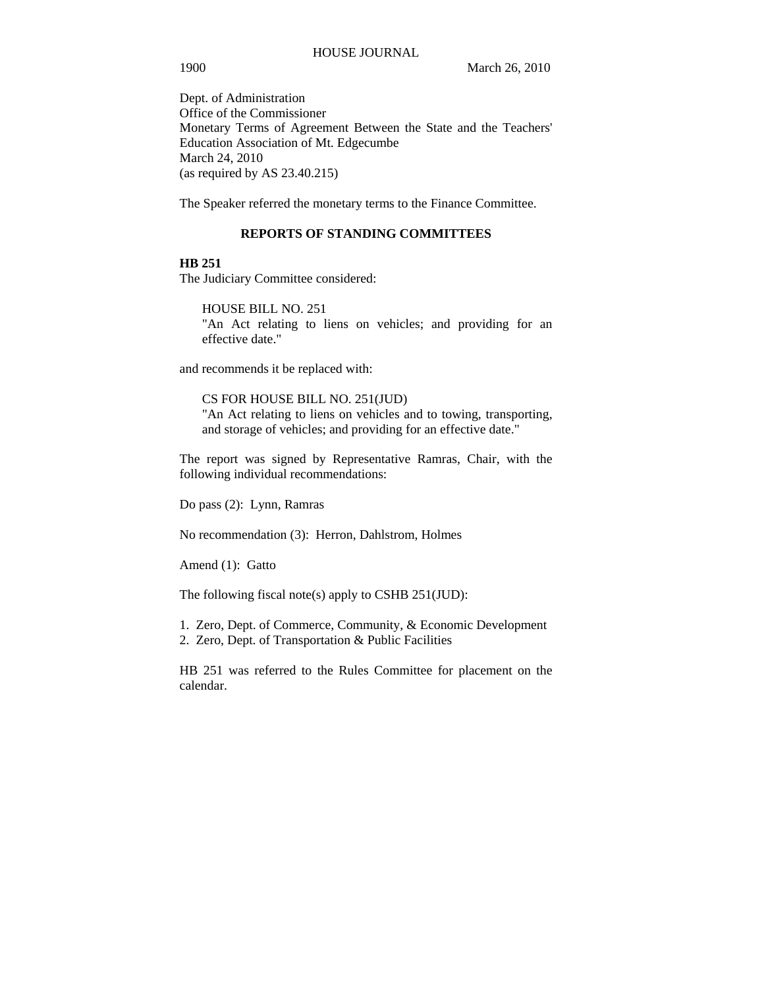Dept. of Administration Office of the Commissioner Monetary Terms of Agreement Between the State and the Teachers' Education Association of Mt. Edgecumbe March 24, 2010 (as required by AS 23.40.215)

The Speaker referred the monetary terms to the Finance Committee.

## **REPORTS OF STANDING COMMITTEES**

### **HB 251**

The Judiciary Committee considered:

HOUSE BILL NO. 251 "An Act relating to liens on vehicles; and providing for an effective date."

and recommends it be replaced with:

CS FOR HOUSE BILL NO. 251(JUD) "An Act relating to liens on vehicles and to towing, transporting, and storage of vehicles; and providing for an effective date."

The report was signed by Representative Ramras, Chair, with the following individual recommendations:

Do pass (2): Lynn, Ramras

No recommendation (3): Herron, Dahlstrom, Holmes

Amend (1): Gatto

The following fiscal note(s) apply to CSHB 251(JUD):

- 1. Zero, Dept. of Commerce, Community, & Economic Development
- 2. Zero, Dept. of Transportation & Public Facilities

HB 251 was referred to the Rules Committee for placement on the calendar.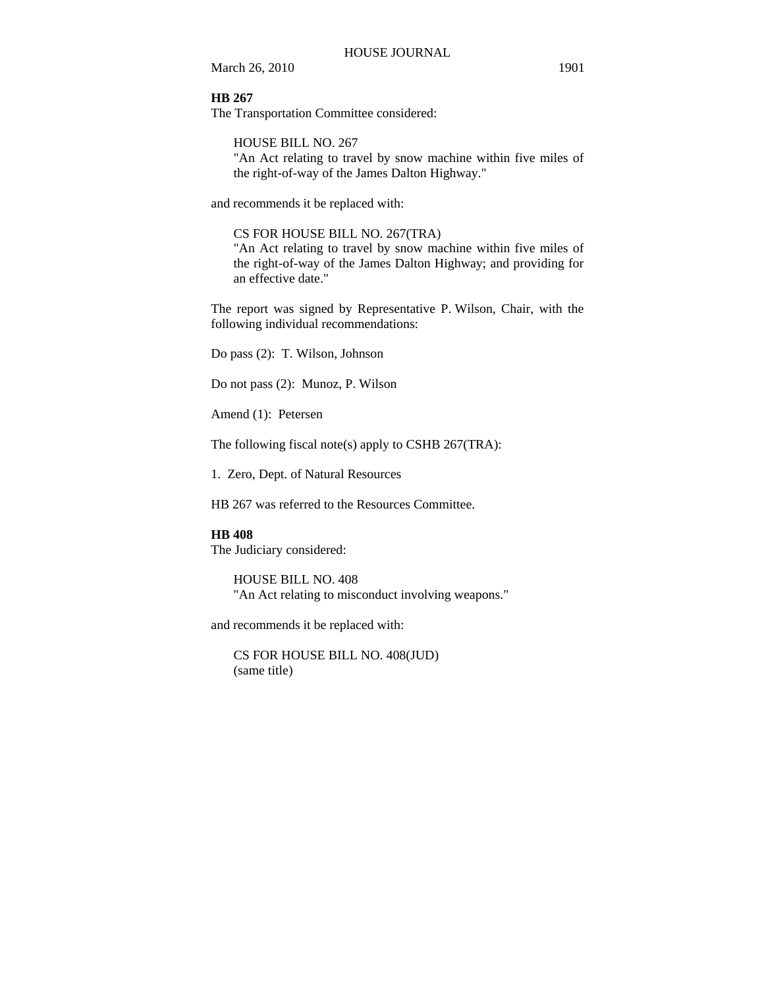**HB 267**

The Transportation Committee considered:

HOUSE BILL NO. 267

"An Act relating to travel by snow machine within five miles of the right-of-way of the James Dalton Highway."

and recommends it be replaced with:

CS FOR HOUSE BILL NO. 267(TRA)

"An Act relating to travel by snow machine within five miles of the right-of-way of the James Dalton Highway; and providing for an effective date."

The report was signed by Representative P. Wilson, Chair, with the following individual recommendations:

Do pass (2): T. Wilson, Johnson

Do not pass (2): Munoz, P. Wilson

Amend (1): Petersen

The following fiscal note(s) apply to CSHB 267(TRA):

1. Zero, Dept. of Natural Resources

HB 267 was referred to the Resources Committee.

## **HB 408**

The Judiciary considered:

HOUSE BILL NO. 408 "An Act relating to misconduct involving weapons."

and recommends it be replaced with:

CS FOR HOUSE BILL NO. 408(JUD) (same title)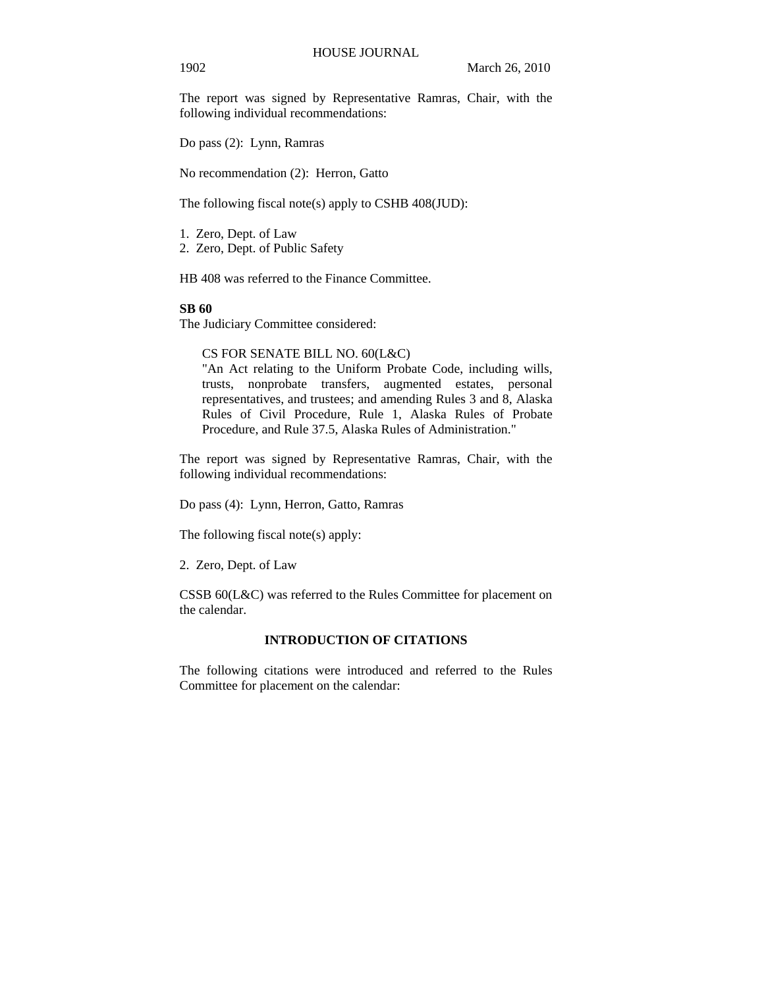The report was signed by Representative Ramras, Chair, with the following individual recommendations:

Do pass (2): Lynn, Ramras

No recommendation (2): Herron, Gatto

The following fiscal note(s) apply to CSHB 408(JUD):

1. Zero, Dept. of Law 2. Zero, Dept. of Public Safety

HB 408 was referred to the Finance Committee.

### **SB 60**

The Judiciary Committee considered:

CS FOR SENATE BILL NO. 60(L&C)

"An Act relating to the Uniform Probate Code, including wills, trusts, nonprobate transfers, augmented estates, personal representatives, and trustees; and amending Rules 3 and 8, Alaska Rules of Civil Procedure, Rule 1, Alaska Rules of Probate Procedure, and Rule 37.5, Alaska Rules of Administration."

The report was signed by Representative Ramras, Chair, with the following individual recommendations:

Do pass (4): Lynn, Herron, Gatto, Ramras

The following fiscal note(s) apply:

2. Zero, Dept. of Law

CSSB 60(L&C) was referred to the Rules Committee for placement on the calendar.

## **INTRODUCTION OF CITATIONS**

The following citations were introduced and referred to the Rules Committee for placement on the calendar: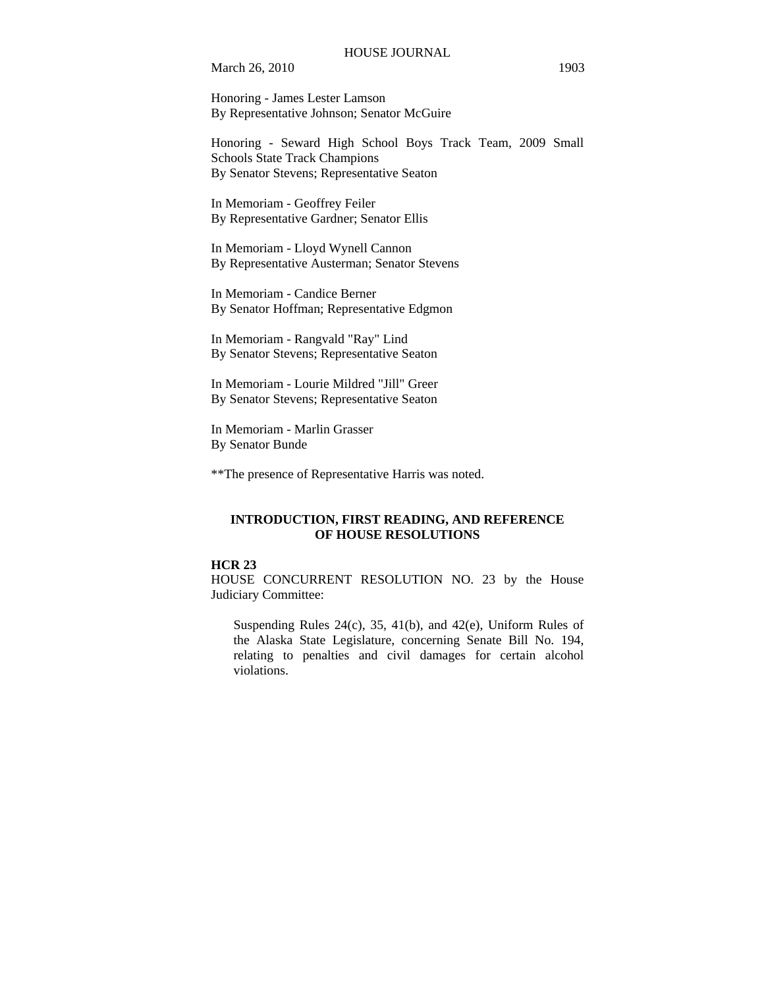Honoring - James Lester Lamson By Representative Johnson; Senator McGuire

Honoring - Seward High School Boys Track Team, 2009 Small Schools State Track Champions By Senator Stevens; Representative Seaton

In Memoriam - Geoffrey Feiler By Representative Gardner; Senator Ellis

In Memoriam - Lloyd Wynell Cannon By Representative Austerman; Senator Stevens

In Memoriam - Candice Berner By Senator Hoffman; Representative Edgmon

In Memoriam - Rangvald "Ray" Lind By Senator Stevens; Representative Seaton

In Memoriam - Lourie Mildred "Jill" Greer By Senator Stevens; Representative Seaton

In Memoriam - Marlin Grasser By Senator Bunde

\*\*The presence of Representative Harris was noted.

## **INTRODUCTION, FIRST READING, AND REFERENCE OF HOUSE RESOLUTIONS**

## **HCR 23**

HOUSE CONCURRENT RESOLUTION NO. 23 by the House Judiciary Committee:

Suspending Rules 24(c), 35, 41(b), and 42(e), Uniform Rules of the Alaska State Legislature, concerning Senate Bill No. 194, relating to penalties and civil damages for certain alcohol violations.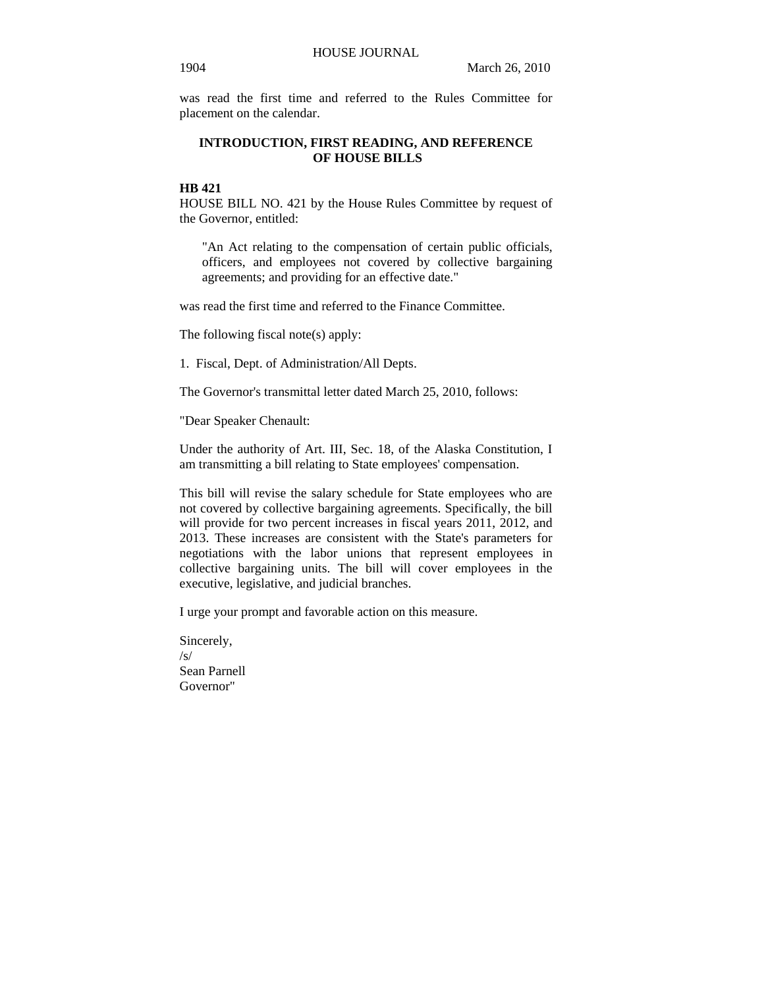was read the first time and referred to the Rules Committee for placement on the calendar.

## **INTRODUCTION, FIRST READING, AND REFERENCE OF HOUSE BILLS**

## **HB 421**

HOUSE BILL NO. 421 by the House Rules Committee by request of the Governor, entitled:

"An Act relating to the compensation of certain public officials, officers, and employees not covered by collective bargaining agreements; and providing for an effective date."

was read the first time and referred to the Finance Committee.

The following fiscal note(s) apply:

1. Fiscal, Dept. of Administration/All Depts.

The Governor's transmittal letter dated March 25, 2010, follows:

"Dear Speaker Chenault:

Under the authority of Art. III, Sec. 18, of the Alaska Constitution, I am transmitting a bill relating to State employees' compensation.

This bill will revise the salary schedule for State employees who are not covered by collective bargaining agreements. Specifically, the bill will provide for two percent increases in fiscal years 2011, 2012, and 2013. These increases are consistent with the State's parameters for negotiations with the labor unions that represent employees in collective bargaining units. The bill will cover employees in the executive, legislative, and judicial branches.

I urge your prompt and favorable action on this measure.

Sincerely,  $\sqrt{s}$ Sean Parnell Governor"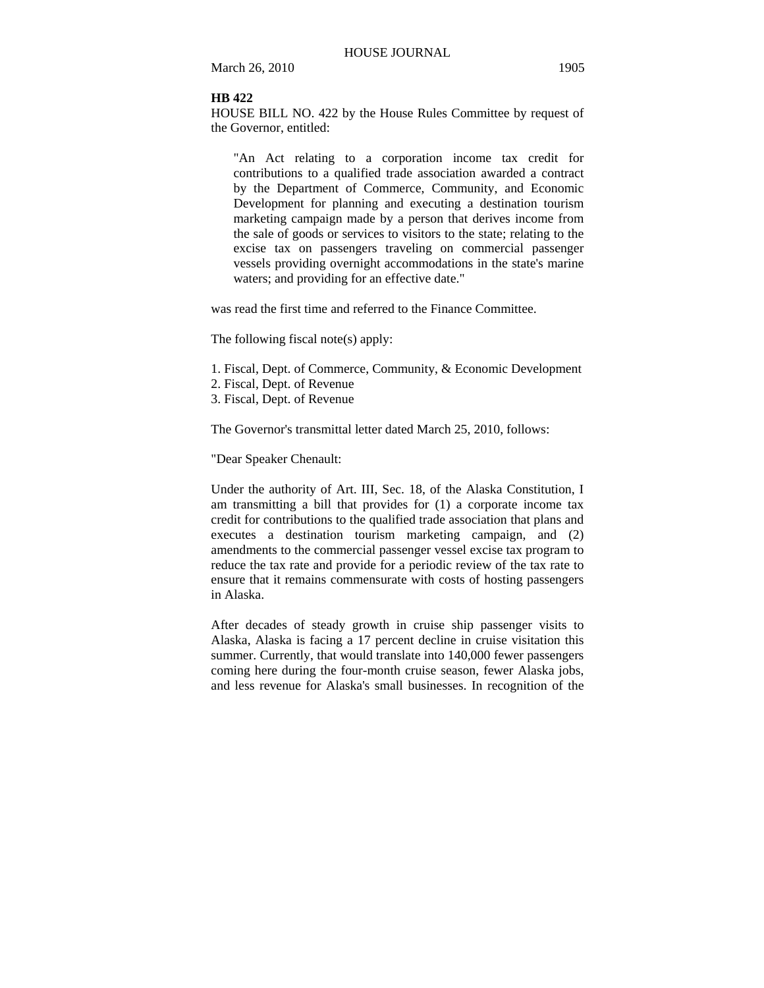#### **HB 422**

HOUSE BILL NO. 422 by the House Rules Committee by request of the Governor, entitled:

"An Act relating to a corporation income tax credit for contributions to a qualified trade association awarded a contract by the Department of Commerce, Community, and Economic Development for planning and executing a destination tourism marketing campaign made by a person that derives income from the sale of goods or services to visitors to the state; relating to the excise tax on passengers traveling on commercial passenger vessels providing overnight accommodations in the state's marine waters; and providing for an effective date."

was read the first time and referred to the Finance Committee.

The following fiscal note(s) apply:

- 1. Fiscal, Dept. of Commerce, Community, & Economic Development
- 2. Fiscal, Dept. of Revenue
- 3. Fiscal, Dept. of Revenue

The Governor's transmittal letter dated March 25, 2010, follows:

"Dear Speaker Chenault:

Under the authority of Art. III, Sec. 18, of the Alaska Constitution, I am transmitting a bill that provides for (1) a corporate income tax credit for contributions to the qualified trade association that plans and executes a destination tourism marketing campaign, and (2) amendments to the commercial passenger vessel excise tax program to reduce the tax rate and provide for a periodic review of the tax rate to ensure that it remains commensurate with costs of hosting passengers in Alaska.

After decades of steady growth in cruise ship passenger visits to Alaska, Alaska is facing a 17 percent decline in cruise visitation this summer. Currently, that would translate into 140,000 fewer passengers coming here during the four-month cruise season, fewer Alaska jobs, and less revenue for Alaska's small businesses. In recognition of the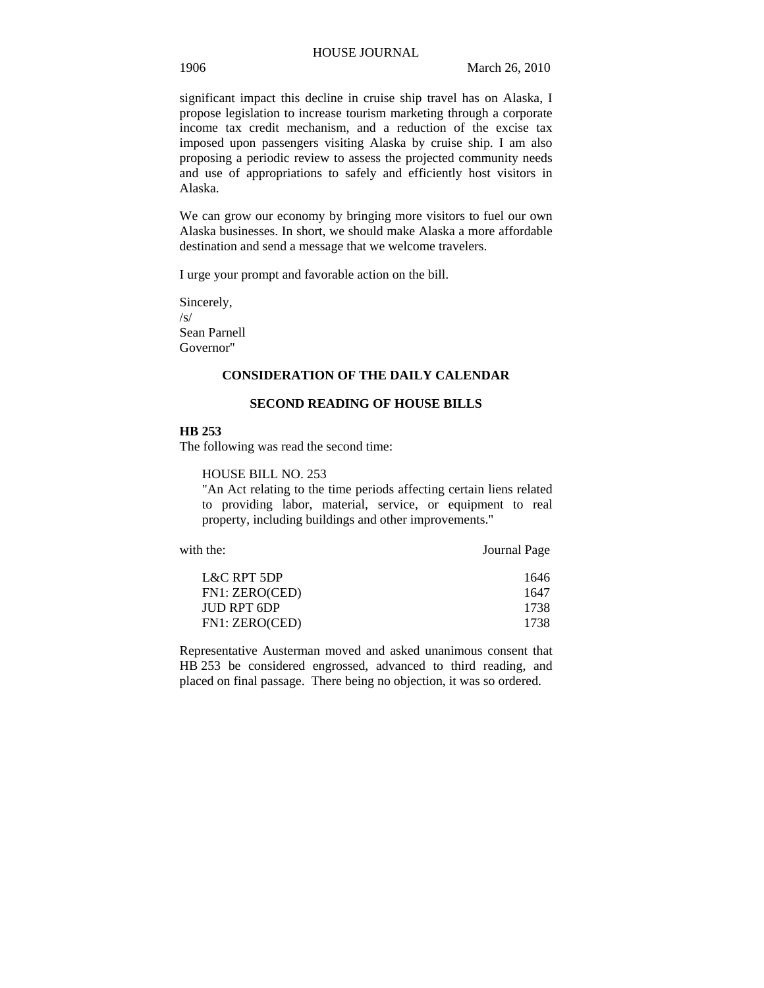### 1906 March 26, 2010

significant impact this decline in cruise ship travel has on Alaska, I propose legislation to increase tourism marketing through a corporate income tax credit mechanism, and a reduction of the excise tax imposed upon passengers visiting Alaska by cruise ship. I am also proposing a periodic review to assess the projected community needs and use of appropriations to safely and efficiently host visitors in Alaska.

We can grow our economy by bringing more visitors to fuel our own Alaska businesses. In short, we should make Alaska a more affordable destination and send a message that we welcome travelers.

I urge your prompt and favorable action on the bill.

Sincerely,  $\sqrt{s}$ Sean Parnell Governor"

#### **CONSIDERATION OF THE DAILY CALENDAR**

#### **SECOND READING OF HOUSE BILLS**

## **HB 253**

The following was read the second time:

HOUSE BILL NO. 253

"An Act relating to the time periods affecting certain liens related to providing labor, material, service, or equipment to real property, including buildings and other improvements."

with the: **Journal Page** 

| L&C RPT 5DP    | 1646 |
|----------------|------|
| FN1: ZERO(CED) | 1647 |
| JUD RPT 6DP    | 1738 |
| FN1: ZERO(CED) | 1738 |

Representative Austerman moved and asked unanimous consent that HB 253 be considered engrossed, advanced to third reading, and placed on final passage. There being no objection, it was so ordered.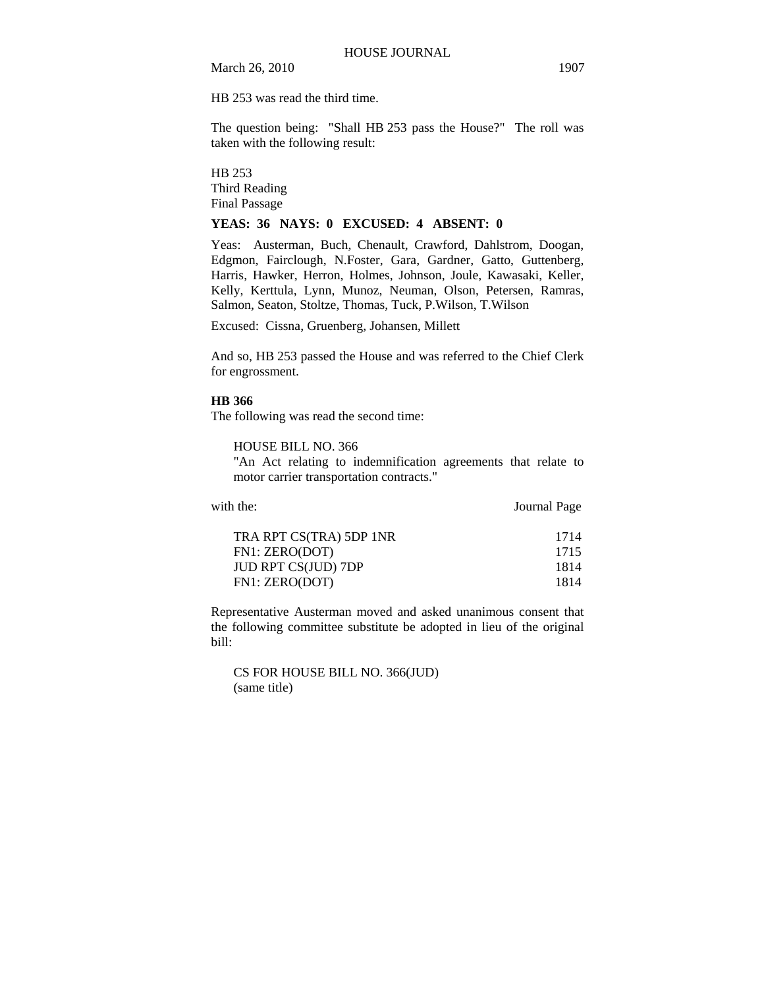HB 253 was read the third time.

The question being: "Shall HB 253 pass the House?" The roll was taken with the following result:

HB 253 Third Reading Final Passage

#### **YEAS: 36 NAYS: 0 EXCUSED: 4 ABSENT: 0**

Yeas: Austerman, Buch, Chenault, Crawford, Dahlstrom, Doogan, Edgmon, Fairclough, N.Foster, Gara, Gardner, Gatto, Guttenberg, Harris, Hawker, Herron, Holmes, Johnson, Joule, Kawasaki, Keller, Kelly, Kerttula, Lynn, Munoz, Neuman, Olson, Petersen, Ramras, Salmon, Seaton, Stoltze, Thomas, Tuck, P.Wilson, T.Wilson

Excused: Cissna, Gruenberg, Johansen, Millett

And so, HB 253 passed the House and was referred to the Chief Clerk for engrossment.

#### **HB 366**

The following was read the second time:

## HOUSE BILL NO. 366

"An Act relating to indemnification agreements that relate to motor carrier transportation contracts."

| with the:               | Journal Page |
|-------------------------|--------------|
| TRA RPT CS(TRA) 5DP 1NR | 1714         |
| FN1: ZERO(DOT)          | 1715         |
| JUD RPT CS(JUD) 7DP     | 1814         |
| FN1: ZERO(DOT)          | 1814         |
|                         |              |

Representative Austerman moved and asked unanimous consent that the following committee substitute be adopted in lieu of the original bill:

CS FOR HOUSE BILL NO. 366(JUD) (same title)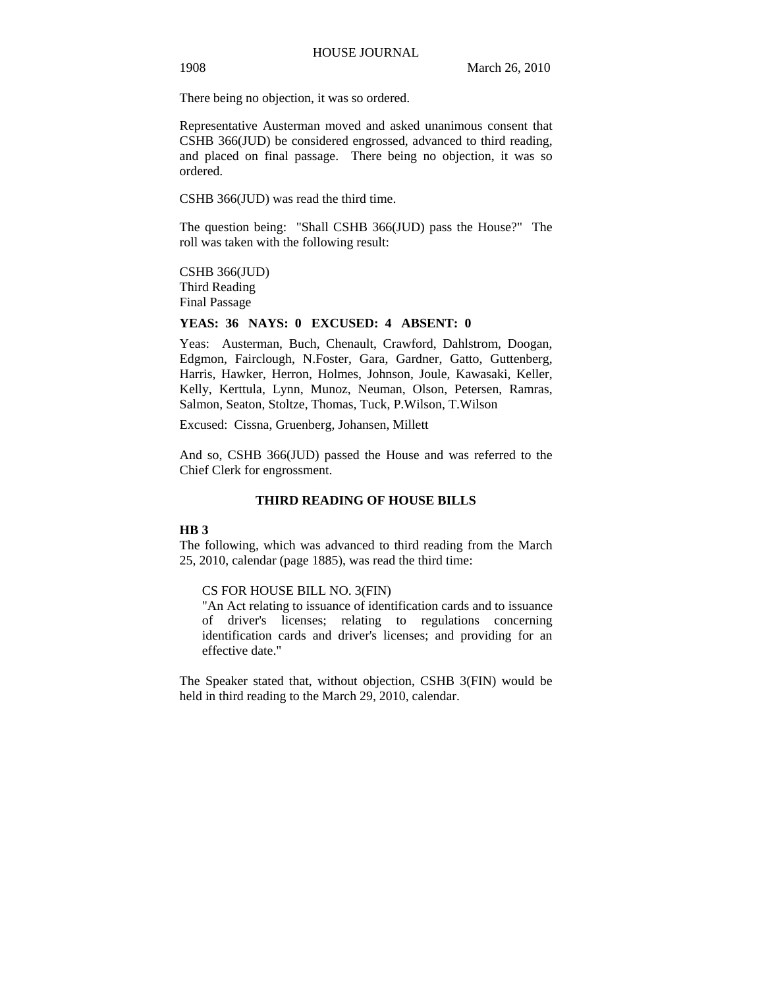There being no objection, it was so ordered.

Representative Austerman moved and asked unanimous consent that CSHB 366(JUD) be considered engrossed, advanced to third reading, and placed on final passage. There being no objection, it was so ordered.

CSHB 366(JUD) was read the third time.

The question being: "Shall CSHB 366(JUD) pass the House?" The roll was taken with the following result:

CSHB 366(JUD) Third Reading Final Passage

#### **YEAS: 36 NAYS: 0 EXCUSED: 4 ABSENT: 0**

Yeas: Austerman, Buch, Chenault, Crawford, Dahlstrom, Doogan, Edgmon, Fairclough, N.Foster, Gara, Gardner, Gatto, Guttenberg, Harris, Hawker, Herron, Holmes, Johnson, Joule, Kawasaki, Keller, Kelly, Kerttula, Lynn, Munoz, Neuman, Olson, Petersen, Ramras, Salmon, Seaton, Stoltze, Thomas, Tuck, P.Wilson, T.Wilson

Excused: Cissna, Gruenberg, Johansen, Millett

And so, CSHB 366(JUD) passed the House and was referred to the Chief Clerk for engrossment.

## **THIRD READING OF HOUSE BILLS**

#### **HB 3**

The following, which was advanced to third reading from the March 25, 2010, calendar (page 1885), was read the third time:

CS FOR HOUSE BILL NO. 3(FIN)

"An Act relating to issuance of identification cards and to issuance of driver's licenses; relating to regulations concerning identification cards and driver's licenses; and providing for an effective date."

The Speaker stated that, without objection, CSHB 3(FIN) would be held in third reading to the March 29, 2010, calendar.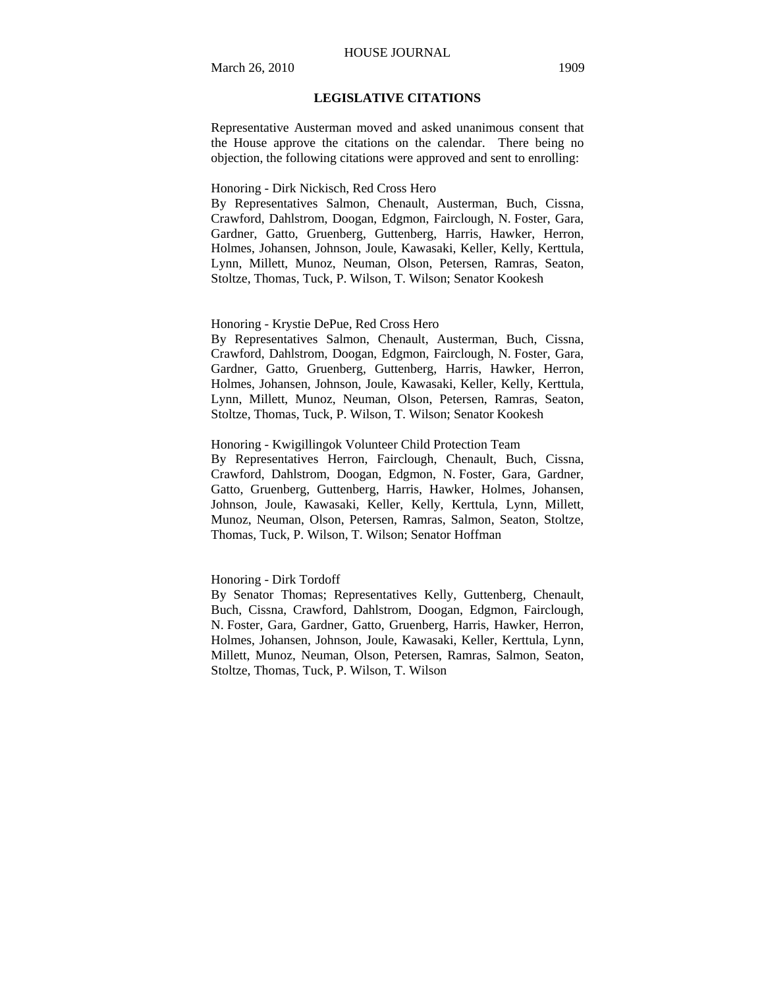#### HOUSE JOURNAL

### **LEGISLATIVE CITATIONS**

Representative Austerman moved and asked unanimous consent that the House approve the citations on the calendar. There being no objection, the following citations were approved and sent to enrolling:

### Honoring - Dirk Nickisch, Red Cross Hero

By Representatives Salmon, Chenault, Austerman, Buch, Cissna, Crawford, Dahlstrom, Doogan, Edgmon, Fairclough, N. Foster, Gara, Gardner, Gatto, Gruenberg, Guttenberg, Harris, Hawker, Herron, Holmes, Johansen, Johnson, Joule, Kawasaki, Keller, Kelly, Kerttula, Lynn, Millett, Munoz, Neuman, Olson, Petersen, Ramras, Seaton, Stoltze, Thomas, Tuck, P. Wilson, T. Wilson; Senator Kookesh

#### Honoring - Krystie DePue, Red Cross Hero

By Representatives Salmon, Chenault, Austerman, Buch, Cissna, Crawford, Dahlstrom, Doogan, Edgmon, Fairclough, N. Foster, Gara, Gardner, Gatto, Gruenberg, Guttenberg, Harris, Hawker, Herron, Holmes, Johansen, Johnson, Joule, Kawasaki, Keller, Kelly, Kerttula, Lynn, Millett, Munoz, Neuman, Olson, Petersen, Ramras, Seaton, Stoltze, Thomas, Tuck, P. Wilson, T. Wilson; Senator Kookesh

### Honoring - Kwigillingok Volunteer Child Protection Team

By Representatives Herron, Fairclough, Chenault, Buch, Cissna, Crawford, Dahlstrom, Doogan, Edgmon, N. Foster, Gara, Gardner, Gatto, Gruenberg, Guttenberg, Harris, Hawker, Holmes, Johansen, Johnson, Joule, Kawasaki, Keller, Kelly, Kerttula, Lynn, Millett, Munoz, Neuman, Olson, Petersen, Ramras, Salmon, Seaton, Stoltze, Thomas, Tuck, P. Wilson, T. Wilson; Senator Hoffman

#### Honoring - Dirk Tordoff

By Senator Thomas; Representatives Kelly, Guttenberg, Chenault, Buch, Cissna, Crawford, Dahlstrom, Doogan, Edgmon, Fairclough, N. Foster, Gara, Gardner, Gatto, Gruenberg, Harris, Hawker, Herron, Holmes, Johansen, Johnson, Joule, Kawasaki, Keller, Kerttula, Lynn, Millett, Munoz, Neuman, Olson, Petersen, Ramras, Salmon, Seaton, Stoltze, Thomas, Tuck, P. Wilson, T. Wilson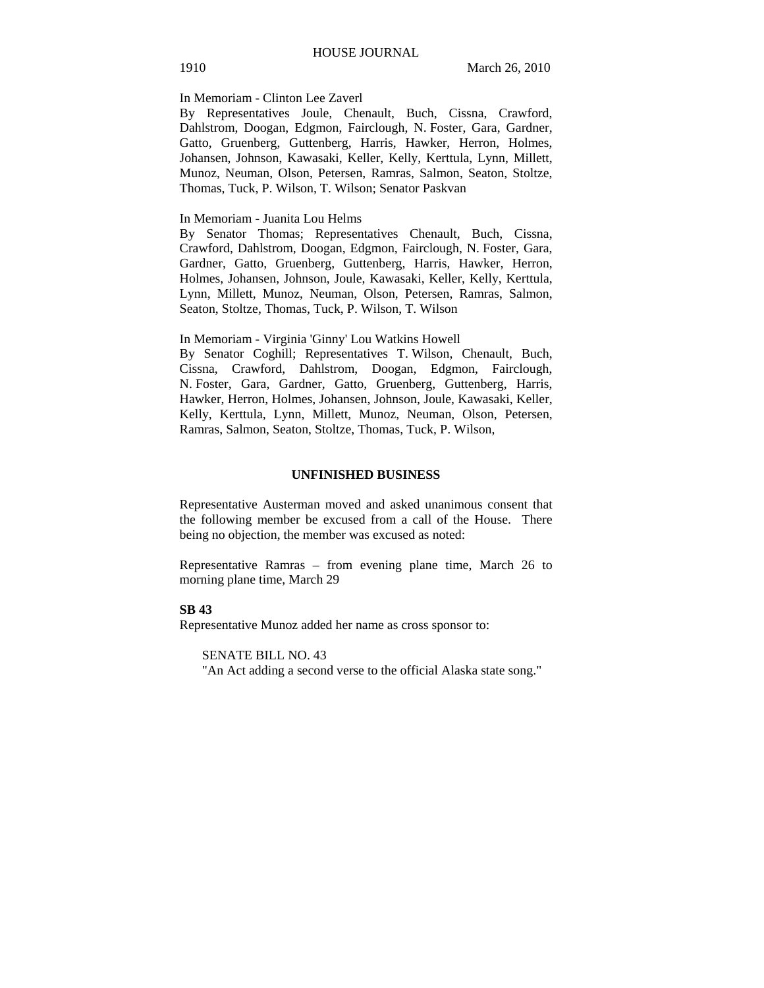#### In Memoriam - Clinton Lee Zaverl

By Representatives Joule, Chenault, Buch, Cissna, Crawford, Dahlstrom, Doogan, Edgmon, Fairclough, N. Foster, Gara, Gardner, Gatto, Gruenberg, Guttenberg, Harris, Hawker, Herron, Holmes, Johansen, Johnson, Kawasaki, Keller, Kelly, Kerttula, Lynn, Millett, Munoz, Neuman, Olson, Petersen, Ramras, Salmon, Seaton, Stoltze, Thomas, Tuck, P. Wilson, T. Wilson; Senator Paskvan

## In Memoriam - Juanita Lou Helms

By Senator Thomas; Representatives Chenault, Buch, Cissna, Crawford, Dahlstrom, Doogan, Edgmon, Fairclough, N. Foster, Gara, Gardner, Gatto, Gruenberg, Guttenberg, Harris, Hawker, Herron, Holmes, Johansen, Johnson, Joule, Kawasaki, Keller, Kelly, Kerttula, Lynn, Millett, Munoz, Neuman, Olson, Petersen, Ramras, Salmon, Seaton, Stoltze, Thomas, Tuck, P. Wilson, T. Wilson

In Memoriam - Virginia 'Ginny' Lou Watkins Howell

By Senator Coghill; Representatives T. Wilson, Chenault, Buch, Cissna, Crawford, Dahlstrom, Doogan, Edgmon, Fairclough, N. Foster, Gara, Gardner, Gatto, Gruenberg, Guttenberg, Harris, Hawker, Herron, Holmes, Johansen, Johnson, Joule, Kawasaki, Keller, Kelly, Kerttula, Lynn, Millett, Munoz, Neuman, Olson, Petersen, Ramras, Salmon, Seaton, Stoltze, Thomas, Tuck, P. Wilson,

#### **UNFINISHED BUSINESS**

Representative Austerman moved and asked unanimous consent that the following member be excused from a call of the House. There being no objection, the member was excused as noted:

Representative Ramras – from evening plane time, March 26 to morning plane time, March 29

#### **SB 43**

Representative Munoz added her name as cross sponsor to:

SENATE BILL NO. 43

"An Act adding a second verse to the official Alaska state song."